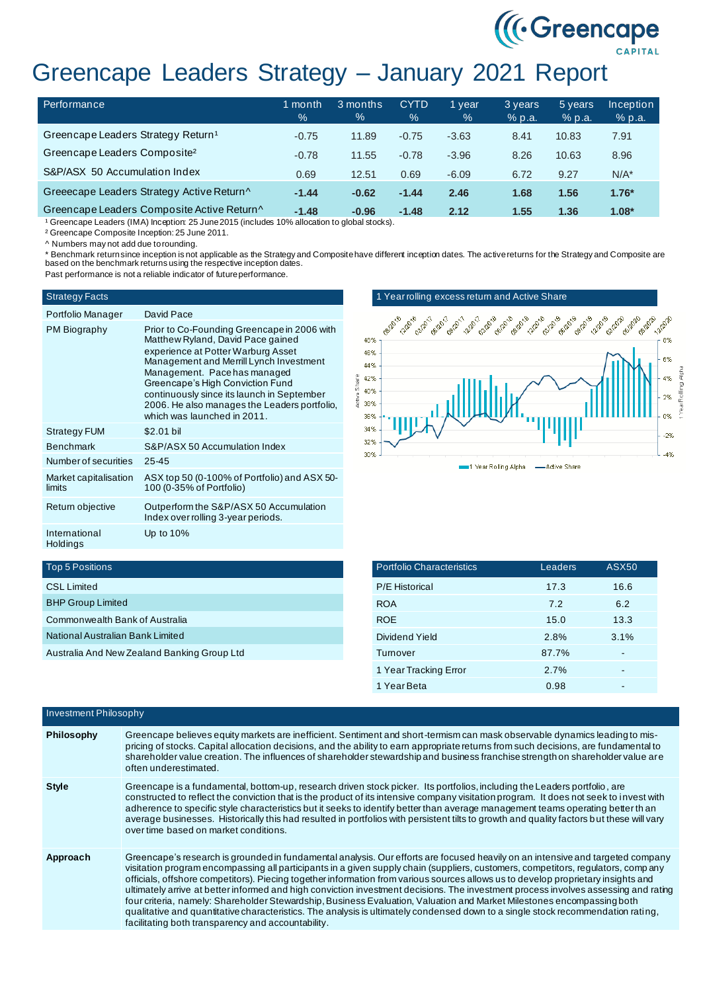# Greencape Leaders Strategy – January 2021 Report

| Performance                                    | 1 month<br>$\%$ | 3 months<br>$\%$ | <b>CYTD</b><br>$\%$ | l vear<br>$\%$ | 3 years<br>% p.a. | 5 years<br>% p.a. | Inception<br>% p.a. |
|------------------------------------------------|-----------------|------------------|---------------------|----------------|-------------------|-------------------|---------------------|
| Greencape Leaders Strategy Return <sup>1</sup> | $-0.75$         | 11.89            | $-0.75$             | $-3.63$        | 8.41              | 10.83             | 7.91                |
| Greencape Leaders Composite <sup>2</sup>       | $-0.78$         | 11.55            | $-0.78$             | $-3.96$        | 8.26              | 10.63             | 8.96                |
| S&P/ASX 50 Accumulation Index                  | 0.69            | 12.51            | 0.69                | $-6.09$        | 6.72              | 9.27              | $N/A^*$             |
| Greeecape Leaders Strategy Active Return^      | $-1.44$         | $-0.62$          | $-1.44$             | 2.46           | 1.68              | 1.56              | $1.76*$             |
| Greencape Leaders Composite Active Return^     | $-1.48$         | $-0.96$          | $-1.48$             | 2.12           | 1.55              | 1.36              | $1.08*$             |

<sup>1</sup> Greencape Leaders (IMA) Inception: 25 June 2015 (includes 10% allocation to global stocks).

² Greencape Composite Inception: 25 June 2011.

^ Numbers may not add due to rounding.

\* Benchmark returnsinœ inception is not applicable as the Strategy and Composite have different inception dates. The active returns for the Strategy and Composite are<br>based on the benchmark returns using the respective inc

Past performance is not a reliable indicator of future performance.

## Strategy Facts

| Portfolio Manager               | David Pace                                                                                                                                                                                                                                                                                                                                                         |
|---------------------------------|--------------------------------------------------------------------------------------------------------------------------------------------------------------------------------------------------------------------------------------------------------------------------------------------------------------------------------------------------------------------|
| PM Biography                    | Prior to Co-Founding Greencape in 2006 with<br>Matthew Ryland, David Pace gained<br>experience at Potter Warburg Asset<br>Management and Merrill Lynch Investment<br>Management. Pace has managed<br>Greencape's High Conviction Fund<br>continuously since its launch in September<br>2006. He also manages the Leaders portfolio,<br>which was launched in 2011. |
| <b>Strategy FUM</b>             | \$2.01 bil                                                                                                                                                                                                                                                                                                                                                         |
| <b>Benchmark</b>                | S&P/ASX 50 Accumulation Index                                                                                                                                                                                                                                                                                                                                      |
| Number of securities            | $25 - 45$                                                                                                                                                                                                                                                                                                                                                          |
| Market capitalisation<br>limits | ASX top 50 (0-100% of Portfolio) and ASX 50-<br>100 (0-35% of Portfolio)                                                                                                                                                                                                                                                                                           |
| Return objective                | Outperform the S&P/ASX 50 Accumulation<br>Index over rolling 3-year periods.                                                                                                                                                                                                                                                                                       |
| International<br>Holdings       | Up to $10\%$                                                                                                                                                                                                                                                                                                                                                       |

## 1 Year rolling excess return and Active Share



((Creencape)

# Top 5 Positions

| <b>CSL Limited</b>                          |
|---------------------------------------------|
| <b>BHP Group Limited</b>                    |
| Commonwealth Bank of Australia              |
| National Australian Bank Limited            |
| Australia And New Zealand Banking Group Ltd |

| <b>Portfolio Characteristics</b> | Leaders | <b>ASX50</b> |
|----------------------------------|---------|--------------|
| <b>P/E Historical</b>            | 17.3    | 16.6         |
| <b>ROA</b>                       | 7.2     | 6.2          |
| <b>ROE</b>                       | 15.0    | 13.3         |
| Dividend Yield                   | 2.8%    | 3.1%         |
| Turnover                         | 87.7%   |              |
| 1 Year Tracking Error            | 2.7%    |              |
| 1 Year Beta                      | 0.98    |              |

| Investment Philosophy |                                                                                                                                                                                                                                                                                                                                                                                                                                                                                                                                                                                                                                                                                                                                                                                                                                                                    |  |  |
|-----------------------|--------------------------------------------------------------------------------------------------------------------------------------------------------------------------------------------------------------------------------------------------------------------------------------------------------------------------------------------------------------------------------------------------------------------------------------------------------------------------------------------------------------------------------------------------------------------------------------------------------------------------------------------------------------------------------------------------------------------------------------------------------------------------------------------------------------------------------------------------------------------|--|--|
| <b>Philosophy</b>     | Greencape believes equity markets are inefficient. Sentiment and short-termism can mask observable dynamics leading to mis-<br>pricing of stocks. Capital allocation decisions, and the ability to earn appropriate returns from such decisions, are fundamental to<br>shareholder value creation. The influences of shareholder stewardship and business franchise strength on shareholder value are<br>often underestimated.                                                                                                                                                                                                                                                                                                                                                                                                                                     |  |  |
| <b>Style</b>          | Greencape is a fundamental, bottom-up, research driven stock picker. Its portfolios, including the Leaders portfolio, are<br>constructed to reflect the conviction that is the product of its intensive company visitation program. It does not seek to invest with<br>adherence to specific style characteristics but it seeks to identify better than average management teams operating better th an<br>average businesses. Historically this had resulted in portfolios with persistent tilts to growth and quality factors but these will vary<br>over time based on market conditions.                                                                                                                                                                                                                                                                       |  |  |
| Approach              | Greencape's research is grounded in fundamental analysis. Our efforts are focused heavily on an intensive and targeted company<br>visitation program encompassing all participants in a given supply chain (suppliers, customers, competitors, regulators, company<br>officials, offshore competitors). Piecing together information from various sources allows us to develop proprietary insights and<br>ultimately arrive at better informed and high conviction investment decisions. The investment process involves assessing and rating<br>four criteria, namely: Shareholder Stewardship, Business Evaluation, Valuation and Market Milestones encompassing both<br>qualitative and quantitative characteristics. The analysis is ultimately condensed down to a single stock recommendation rating,<br>facilitating both transparency and accountability. |  |  |